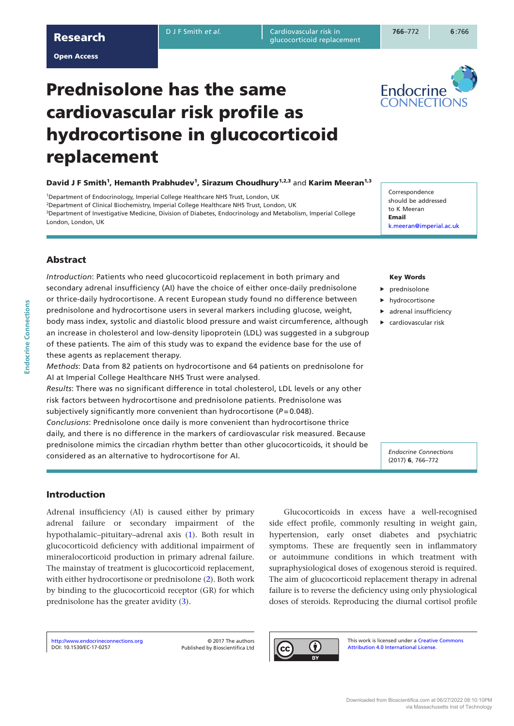D J F Smith et al. **Cardiovascular risk in** glucocortic replacement replacement risk in the statement risk in the statement risk in the statement risk in the statement of  $36-772$  for  $6:76$ glucocorticoid replacement

Endocrine ONNECTIC

**6** :766

Open Access

# Prednisolone has the same cardiovascular risk profile as hydrocortisone in glucocorticoid replacement

David J F Smith<sup>1</sup>, Hemanth Prabhudev<sup>1</sup>, Sirazum Choudhury<sup>1,2,3</sup> and Karim Meeran<sup>1,3</sup>

1Department of Endocrinology, Imperial College Healthcare NHS Trust, London, UK <sup>2</sup>Department of Clinical Biochemistry, Imperial College Healthcare NHS Trust, London, UK 3Department of Investigative Medicine, Division of Diabetes, Endocrinology and Metabolism, Imperial College London, London, UK

Correspondence should be addressed to K Meeran Email [k.meeran@imperial.ac.uk](mailto:k.meeran@imperial.ac.uk)

# Abstract

*Introduction*: Patients who need glucocorticoid replacement in both primary and secondary adrenal insufficiency (AI) have the choice of either once-daily prednisolone or thrice-daily hydrocortisone. A recent European study found no difference between prednisolone and hydrocortisone users in several markers including glucose, weight, body mass index, systolic and diastolic blood pressure and waist circumference, although an increase in cholesterol and low-density lipoprotein (LDL) was suggested in a subgroup of these patients. The aim of this study was to expand the evidence base for the use of these agents as replacement therapy.

*Methods*: Data from 82 patients on hydrocortisone and 64 patients on prednisolone for AI at Imperial College Healthcare NHS Trust were analysed.

*Results*: There was no significant difference in total cholesterol, LDL levels or any other risk factors between hydrocortisone and prednisolone patients. Prednisolone was subjectively significantly more convenient than hydrocortisone ( $P = 0.048$ ). *Conclusions*: Prednisolone once daily is more convenient than hydrocortisone thrice

daily, and there is no difference in the markers of cardiovascular risk measured. Because prednisolone mimics the circadian rhythm better than other glucocorticoids, it should be considered as an alternative to hydrocortisone for AI.

### Key Words

- prednisolone
- hydrocortisone
- $\blacktriangleright$  adrenal insufficiency
- $\blacktriangleright$  cardiovascular risk

*Endocrine Connections* (2017) 6, 766–772

## Introduction

Adrenal insufficiency (AI) is caused either by primary adrenal failure or secondary impairment of the hypothalamic–pituitary–adrenal axis ([1\)](#page-5-0). Both result in glucocorticoid deficiency with additional impairment of mineralocorticoid production in primary adrenal failure. The mainstay of treatment is glucocorticoid replacement, with either hydrocortisone or prednisolone ([2\)](#page-5-1). Both work by binding to the glucocorticoid receptor (GR) for which prednisolone has the greater avidity [\(3\)](#page-5-2).

Glucocorticoids in excess have a well-recognised side effect profile, commonly resulting in weight gain, hypertension, early onset diabetes and psychiatric symptoms. These are frequently seen in inflammatory or autoimmune conditions in which treatment with supraphysiological doses of exogenous steroid is required. The aim of glucocorticoid replacement therapy in adrenal failure is to reverse the deficiency using only physiological doses of steroids. Reproducing the diurnal cortisol profile

[DOI: 10.1530/EC-17-0257](http://dx.doi.org/10.1530/EC-17-0257) <http://www.endocrineconnections.org> © 2017 The authors

Published by Bioscientifica Ltd

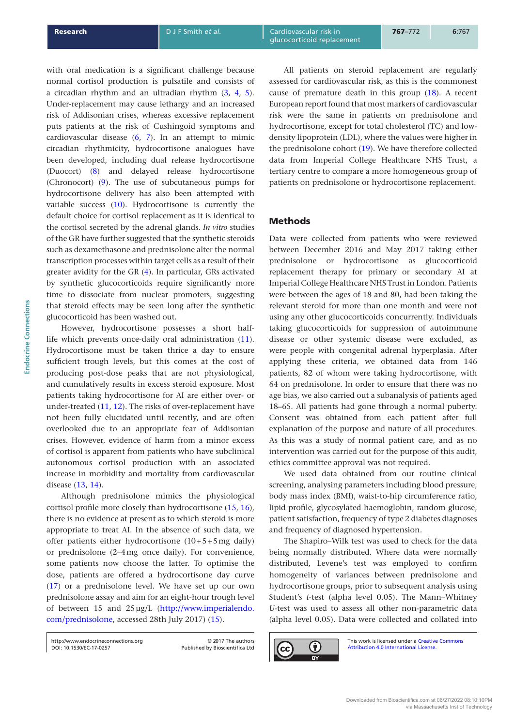with oral medication is a significant challenge because normal cortisol production is pulsatile and consists of a circadian rhythm and an ultradian rhythm [\(3,](#page-5-2) [4,](#page-5-3) [5](#page-5-4)). Under-replacement may cause lethargy and an increased risk of Addisonian crises, whereas excessive replacement puts patients at the risk of Cushingoid symptoms and cardiovascular disease [\(6](#page-5-5), [7](#page-5-6)). In an attempt to mimic circadian rhythmicity, hydrocortisone analogues have been developed, including dual release hydrocortisone (Duocort) [\(8\)](#page-5-7) and delayed release hydrocortisone (Chronocort) [\(9](#page-5-8)). The use of subcutaneous pumps for hydrocortisone delivery has also been attempted with variable success [\(10\)](#page-5-9). Hydrocortisone is currently the default choice for cortisol replacement as it is identical to the cortisol secreted by the adrenal glands. *In vitro* studies of the GR have further suggested that the synthetic steroids such as dexamethasone and prednisolone alter the normal transcription processes within target cells as a result of their greater avidity for the GR [\(4](#page-5-3)). In particular, GRs activated by synthetic glucocorticoids require significantly more time to dissociate from nuclear promoters, suggesting that steroid effects may be seen long after the synthetic glucocorticoid has been washed out.

However, hydrocortisone possesses a short halflife which prevents once-daily oral administration ([11](#page-5-10)). Hydrocortisone must be taken thrice a day to ensure sufficient trough levels, but this comes at the cost of producing post-dose peaks that are not physiological, and cumulatively results in excess steroid exposure. Most patients taking hydrocortisone for AI are either over- or under-treated [\(11](#page-5-10), [12\)](#page-5-11). The risks of over-replacement have not been fully elucidated until recently, and are often overlooked due to an appropriate fear of Addisonian crises. However, evidence of harm from a minor excess of cortisol is apparent from patients who have subclinical autonomous cortisol production with an associated increase in morbidity and mortality from cardiovascular disease ([13,](#page-5-12) [14](#page-5-13)).

Although prednisolone mimics the physiological cortisol profile more closely than hydrocortisone [\(15,](#page-5-14) [16](#page-5-15)), there is no evidence at present as to which steroid is more appropriate to treat AI. In the absence of such data, we offer patients either hydrocortisone (10+5+5mg daily) or prednisolone (2–4mg once daily). For convenience, some patients now choose the latter. To optimise the dose, patients are offered a hydrocortisone day curve ([17](#page-5-16)) or a prednisolone level. We have set up our own prednisolone assay and aim for an eight-hour trough level of between 15 and 25µg/L [\(http://www.imperialendo.](http://www.imperialendo.com/prednisolone) [com/prednisolone](http://www.imperialendo.com/prednisolone), accessed 28th July 2017) [\(15](#page-5-14)).

All patients on steroid replacement are regularly assessed for cardiovascular risk, as this is the commonest cause of premature death in this group [\(18](#page-5-17)). A recent European report found that most markers of cardiovascular risk were the same in patients on prednisolone and hydrocortisone, except for total cholesterol (TC) and lowdensity lipoprotein (LDL), where the values were higher in the prednisolone cohort ([19\)](#page-5-18). We have therefore collected data from Imperial College Healthcare NHS Trust, a tertiary centre to compare a more homogeneous group of patients on prednisolone or hydrocortisone replacement.

## Methods

Data were collected from patients who were reviewed between December 2016 and May 2017 taking either prednisolone or hydrocortisone as glucocorticoid replacement therapy for primary or secondary AI at Imperial College Healthcare NHS Trust in London. Patients were between the ages of 18 and 80, had been taking the relevant steroid for more than one month and were not using any other glucocorticoids concurrently. Individuals taking glucocorticoids for suppression of autoimmune disease or other systemic disease were excluded, as were people with congenital adrenal hyperplasia. After applying these criteria, we obtained data from 146 patients, 82 of whom were taking hydrocortisone, with 64 on prednisolone. In order to ensure that there was no age bias, we also carried out a subanalysis of patients aged 18–65. All patients had gone through a normal puberty. Consent was obtained from each patient after full explanation of the purpose and nature of all procedures. As this was a study of normal patient care, and as no intervention was carried out for the purpose of this audit, ethics committee approval was not required.

We used data obtained from our routine clinical screening, analysing parameters including blood pressure, body mass index (BMI), waist-to-hip circumference ratio, lipid profile, glycosylated haemoglobin, random glucose, patient satisfaction, frequency of type 2 diabetes diagnoses and frequency of diagnosed hypertension.

The Shapiro–Wilk test was used to check for the data being normally distributed. Where data were normally distributed, Levene's test was employed to confirm homogeneity of variances between prednisolone and hydrocortisone groups, prior to subsequent analysis using Student's *t*-test (alpha level 0.05). The Mann–Whitney *U*-test was used to assess all other non-parametric data (alpha level 0.05). Data were collected and collated into



[DOI: 10.1530/EC-17-0257](http://dx.doi.org/10.1530/EC-17-0257) http://www.endocrineconnections.org © 2017 The authors

Published by Bioscientifica Ltd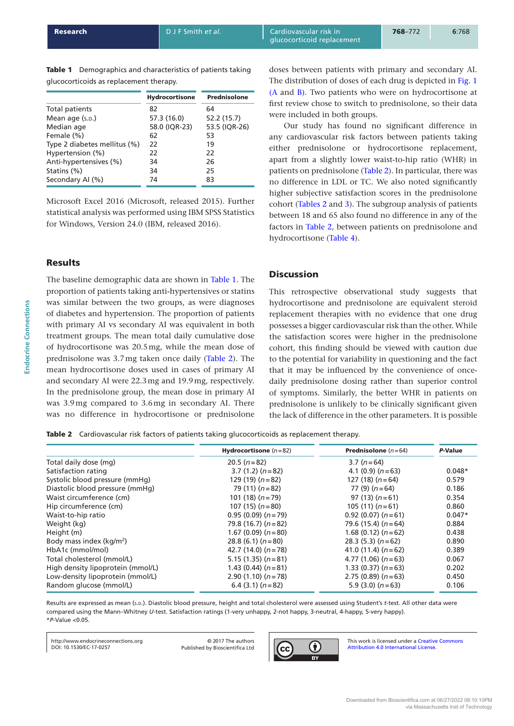Table 1 Demographics and characteristics of patients taking glucocorticoids as replacement therapy.

|                              |                       | <b>Prednisolone</b> |
|------------------------------|-----------------------|---------------------|
|                              | <b>Hydrocortisone</b> |                     |
| Total patients               | 82                    | 64                  |
| Mean age (s.p.)              | 57.3 (16.0)           | 52.2 (15.7)         |
| Median age                   | 58.0 (IQR-23)         | 53.5 (IQR-26)       |
| Female (%)                   | 62                    | 53                  |
| Type 2 diabetes mellitus (%) | 22                    | 19                  |
| Hypertension (%)             | 22                    | 22                  |
| Anti-hypertensives (%)       | 34                    | 26                  |
| Statins (%)                  | 34                    | 25                  |
| Secondary AI (%)             | 74                    | 83                  |
|                              |                       |                     |

Microsoft Excel 2016 (Microsoft, released 2015). Further statistical analysis was performed using IBM SPSS Statistics for Windows, Version 24.0 (IBM, released 2016).

## **Results**

The baseline demographic data are shown in Table 1. The proportion of patients taking anti-hypertensives or statins was similar between the two groups, as were diagnoses of diabetes and hypertension. The proportion of patients with primary AI vs secondary AI was equivalent in both treatment groups. The mean total daily cumulative dose of hydrocortisone was 20.5mg, while the mean dose of prednisolone was 3.7mg taken once daily (Table 2). The mean hydrocortisone doses used in cases of primary AI and secondary AI were 22.3mg and 19.9mg, respectively. In the prednisolone group, the mean dose in primary AI was 3.9mg compared to 3.6mg in secondary AI. There was no difference in hydrocortisone or prednisolone doses between patients with primary and secondary AI. The distribution of doses of each drug is depicted in [Fig. 1](#page-3-0)  [\(A](#page-3-0) and [B\)](#page-3-0). Two patients who were on hydrocortisone at first review chose to switch to prednisolone, so their data were included in both groups.

Our study has found no significant difference in any cardiovascular risk factors between patients taking either prednisolone or hydrocortisone replacement, apart from a slightly lower waist-to-hip ratio (WHR) in patients on prednisolone (Table 2). In particular, there was no difference in LDL or TC. We also noted significantly higher subjective satisfaction scores in the prednisolone cohort (Tables 2 and [3\)](#page-3-0). The subgroup analysis of patients between 18 and 65 also found no difference in any of the factors in Table 2, between patients on prednisolone and hydrocortisone [\(Table 4](#page-4-0)).

## **Discussion**

This retrospective observational study suggests that hydrocortisone and prednisolone are equivalent steroid replacement therapies with no evidence that one drug possesses a bigger cardiovascular risk than the other. While the satisfaction scores were higher in the prednisolone cohort, this finding should be viewed with caution due to the potential for variability in questioning and the fact that it may be influenced by the convenience of oncedaily prednisolone dosing rather than superior control of symptoms. Similarly, the better WHR in patients on prednisolone is unlikely to be clinically significant given the lack of difference in the other parameters. It is possible

Table 2 Cardiovascular risk factors of patients taking glucocorticoids as replacement therapy.

|                                   | <b>Hydrocortisone</b> $(n=82)$ | <b>Prednisolone</b> $(n=64)$ | P-Value  |
|-----------------------------------|--------------------------------|------------------------------|----------|
| Total daily dose (mg)             | $20.5(n=82)$                   | $3.7 (n=64)$                 |          |
| Satisfaction rating               | $3.7(1.2)(n=82)$               | 4.1 $(0.9) (n=63)$           | $0.048*$ |
| Systolic blood pressure (mmHq)    | 129 (19) $(n=82)$              | 127 $(18)(n=64)$             | 0.579    |
| Diastolic blood pressure (mmHq)   | 79 $(11)(n=82)$                | $77(9)(n=64)$                | 0.186    |
| Waist circumference (cm)          | 101 (18) $(n=79)$              | $97(13)(n=61)$               | 0.354    |
| Hip circumference (cm)            | 107 $(15)(n=80)$               | 105 $(11)(n=61)$             | 0.860    |
| Waist-to-hip ratio                | $0.95(0.09)(n=79)$             | $0.92(0.07)(n=61)$           | $0.047*$ |
| Weight (kg)                       | 79.8 $(16.7) (n=82)$           | 79.6 (15.4) $(n=64)$         | 0.884    |
| Height (m)                        | 1.67 (0.09) $(n=80)$           | 1.68 $(0.12)$ $(n=62)$       | 0.438    |
| Body mass index ( $kg/m2$ )       | 28.8 (6.1) $(n=80)$            | $28.3(5.3)(n=62)$            | 0.890    |
| HbA1c (mmol/mol)                  | 42.7 $(14.0)$ $(n=78)$         | 41.0 $(11.4)$ $(n=62)$       | 0.389    |
| Total cholesterol (mmol/L)        | $5.15(1.35)(n=81)$             | 4.77 $(1.06)$ $(n=63)$       | 0.067    |
| High density lipoprotein (mmol/L) | 1.43 $(0.44)$ $(n=81)$         | $1.33(0.37)(n=63)$           | 0.202    |
| Low-density lipoprotein (mmol/L)  | $2.90(1.10)(n=78)$             | $2.75(0.89)(n=63)$           | 0.450    |
| Random glucose (mmol/L)           | $6.4(3.1)(n=82)$               | $5.9(3.0)$ $(n=63)$          | 0.106    |

Results are expressed as mean (s.p.). Diastolic blood pressure, height and total cholesterol were assessed using Student's t-test. All other data were compared using the Mann–Whitney *U*-test. Satisfaction ratings (1-very unhappy, 2-not happy, 3-neutral, 4-happy, 5-very happy). \**P*-Value <0.05.

[DOI: 10.1530/EC-17-0257](http://dx.doi.org/10.1530/EC-17-0257) http://www.endocrineconnections.org **blue authors** © 2017 The authors

Published by Bioscientifica Ltd

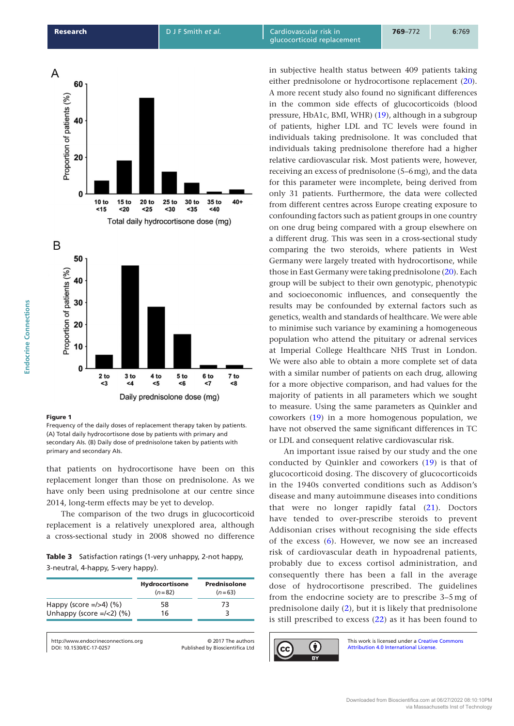<span id="page-3-0"></span>

#### Figure 1

Frequency of the daily doses of replacement therapy taken by patients. (A) Total daily hydrocortisone dose by patients with primary and secondary AIs. (B) Daily dose of prednisolone taken by patients with primary and secondary AIs.

that patients on hydrocortisone have been on this replacement longer than those on prednisolone. As we have only been using prednisolone at our centre since 2014, long-term effects may be yet to develop.

The comparison of the two drugs in glucocorticoid replacement is a relatively unexplored area, although a cross-sectional study in 2008 showed no difference

Table 3 Satisfaction ratings (1-very unhappy, 2-not happy, 3-neutral, 4-happy, 5-very happy).

| Hydrocortisone<br>$(n=82)$ | Prednisolone<br>$(n=63)$ |
|----------------------------|--------------------------|
| 58                         | 73                       |
| 16                         |                          |
|                            |                          |

[DOI: 10.1530/EC-17-0257](http://dx.doi.org/10.1530/EC-17-0257) http://www.endocrineconnections.org © 2017 The authors

Published by Bioscientifica Ltd

in subjective health status between 409 patients taking either prednisolone or hydrocortisone replacement ([20](#page-6-0)). A more recent study also found no significant differences in the common side effects of glucocorticoids (blood pressure, HbA1c, BMI, WHR) [\(19](#page-5-18)), although in a subgroup of patients, higher LDL and TC levels were found in individuals taking prednisolone. It was concluded that individuals taking prednisolone therefore had a higher relative cardiovascular risk. Most patients were, however, receiving an excess of prednisolone (5–6mg), and the data for this parameter were incomplete, being derived from only 31 patients. Furthermore, the data were collected from different centres across Europe creating exposure to confounding factors such as patient groups in one country on one drug being compared with a group elsewhere on a different drug. This was seen in a cross-sectional study comparing the two steroids, where patients in West Germany were largely treated with hydrocortisone, while those in East Germany were taking prednisolone [\(20](#page-6-0)). Each group will be subject to their own genotypic, phenotypic and socioeconomic influences, and consequently the results may be confounded by external factors such as genetics, wealth and standards of healthcare. We were able to minimise such variance by examining a homogeneous population who attend the pituitary or adrenal services at Imperial College Healthcare NHS Trust in London. We were also able to obtain a more complete set of data with a similar number of patients on each drug, allowing for a more objective comparison, and had values for the majority of patients in all parameters which we sought to measure. Using the same parameters as Quinkler and coworkers ([19](#page-5-18)) in a more homogenous population, we have not observed the same significant differences in TC or LDL and consequent relative cardiovascular risk.

An important issue raised by our study and the one conducted by Quinkler and coworkers [\(19](#page-5-18)) is that of glucocorticoid dosing. The discovery of glucocorticoids in the 1940s converted conditions such as Addison's disease and many autoimmune diseases into conditions that were no longer rapidly fatal ([21\)](#page-6-1). Doctors have tended to over-prescribe steroids to prevent Addisonian crises without recognising the side effects of the excess [\(6\)](#page-5-5). However, we now see an increased risk of cardiovascular death in hypoadrenal patients, probably due to excess cortisol administration, and consequently there has been a fall in the average dose of hydrocortisone prescribed. The guidelines from the endocrine society are to prescribe 3–5 mg of prednisolone daily ([2](#page-5-1)), but it is likely that prednisolone is still prescribed to excess [\(22](#page-6-2)) as it has been found to

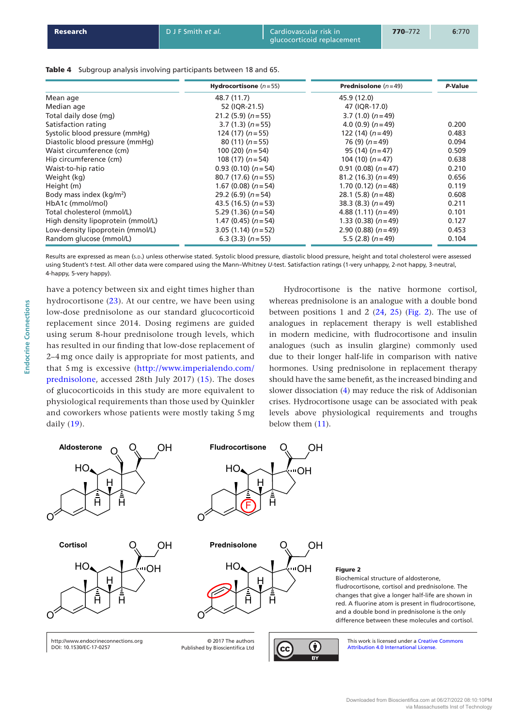<span id="page-4-0"></span>

| Research | D J F Smith et al. | <b>Cardiovascular risk in</b><br>qlucocorticoid replacement | $770 - 772$ | 6:770 |
|----------|--------------------|-------------------------------------------------------------|-------------|-------|
|          |                    |                                                             |             |       |

| Table 4 Subgroup analysis involving participants between 18 and 65. |  |
|---------------------------------------------------------------------|--|
|---------------------------------------------------------------------|--|

|                                      | <b>Hydrocortisone</b> $(n=55)$ | <b>Prednisolone</b> $(n=49)$ | P-Value |
|--------------------------------------|--------------------------------|------------------------------|---------|
| Mean age                             | 48.7 (11.7)                    | 45.9 (12.0)                  |         |
| Median age                           | 52 (IOR-21.5)                  | 47 (IOR-17.0)                |         |
| Total daily dose (mg)                | $21.2$ (5.9) ( $n = 55$ )      | $3.7(1.0)(n=49)$             |         |
| Satisfaction rating                  | $3.7(1.3)(n=55)$               | 4.0 $(0.9)$ $(n=49)$         | 0.200   |
| Systolic blood pressure (mmHg)       | $124(17)(n=55)$                | 122 $(14)(n=49)$             | 0.483   |
| Diastolic blood pressure (mmHg)      | $80(11)(n=55)$                 | 76 $(9)$ $(n=49)$            | 0.094   |
| Waist circumference (cm)             | 100 $(20)$ $(n=54)$            | $95(14)(n=47)$               | 0.509   |
| Hip circumference (cm)               | 108 $(17)(n=54)$               | 104 (10) $(n=47)$            | 0.638   |
| Waist-to-hip ratio                   | $0.93(0.10)(n=54)$             | $0.91(0.08)(n=47)$           | 0.210   |
| Weight (kg)                          | $80.7(17.6)(n=55)$             | $81.2(16.3)(n=49)$           | 0.656   |
| Height (m)                           | 1.67 (0.08) $(n=54)$           | 1.70 $(0.12)$ $(n=48)$       | 0.119   |
| Body mass index (kg/m <sup>2</sup> ) | 29.2 (6.9) $(n=54)$            | 28.1 $(5.8)$ $(n=48)$        | 0.608   |
| HbA1c (mmol/mol)                     | 43.5 (16.5) $(n=53)$           | $38.3(8.3)(n=49)$            | 0.211   |
| Total cholesterol (mmol/L)           | 5.29 $(1.36)$ $(n=54)$         | 4.88 $(1.11)$ $(n=49)$       | 0.101   |
| High density lipoprotein (mmol/L)    | 1.47 $(0.45)$ $(n=54)$         | $1.33(0.38)(n=49)$           | 0.127   |
| Low-density lipoprotein (mmol/L)     | $3.05(1.14)(n=52)$             | $2.90(0.88)(n=49)$           | 0.453   |
| Random glucose (mmol/L)              | $6.3(3.3)(n=55)$               | $5.5(2.8)(n=49)$             | 0.104   |

Results are expressed as mean (s.D.) unless otherwise stated. Systolic blood pressure, diastolic blood pressure, height and total cholesterol were assessed using Student's *t*-test. All other data were compared using the Mann–Whitney *U*-test. Satisfaction ratings (1-very unhappy, 2-not happy, 3-neutral, 4-happy, 5-very happy).

have a potency between six and eight times higher than hydrocortisone [\(23](#page-6-3)). At our centre, we have been using low-dose prednisolone as our standard glucocorticoid replacement since 2014. Dosing regimens are guided using serum 8-hour prednisolone trough levels, which has resulted in our finding that low-dose replacement of 2–4 mg once daily is appropriate for most patients, and that 5 mg is excessive [\(http://www.imperialendo.com/](http://www.imperialendo.com/prednisolone) [prednisolone](http://www.imperialendo.com/prednisolone), accessed 28th July 2017) ([15\)](#page-5-14). The doses of glucocorticoids in this study are more equivalent to physiological requirements than those used by Quinkler and coworkers whose patients were mostly taking 5 mg daily [\(19](#page-5-18)).

**Endocrine Connections**

**Endocrine Connections** 

Hydrocortisone is the native hormone cortisol, whereas prednisolone is an analogue with a double bond between positions 1 and 2  $(24, 25)$  $(24, 25)$  $(24, 25)$  $(24, 25)$  (Fig. 2). The use of analogues in replacement therapy is well established in modern medicine, with fludrocortisone and insulin analogues (such as insulin glargine) commonly used due to their longer half-life in comparison with native hormones. Using prednisolone in replacement therapy should have the same benefit, as the increased binding and slower dissociation [\(4](#page-5-3)) may reduce the risk of Addisonian crises. Hydrocortisone usage can be associated with peak levels above physiological requirements and troughs below them [\(11\)](#page-5-10).



**CC** 

[DOI: 10.1530/EC-17-0257](http://dx.doi.org/10.1530/EC-17-0257)

Published by Bioscientifica Ltd

Attribution 4.0 International License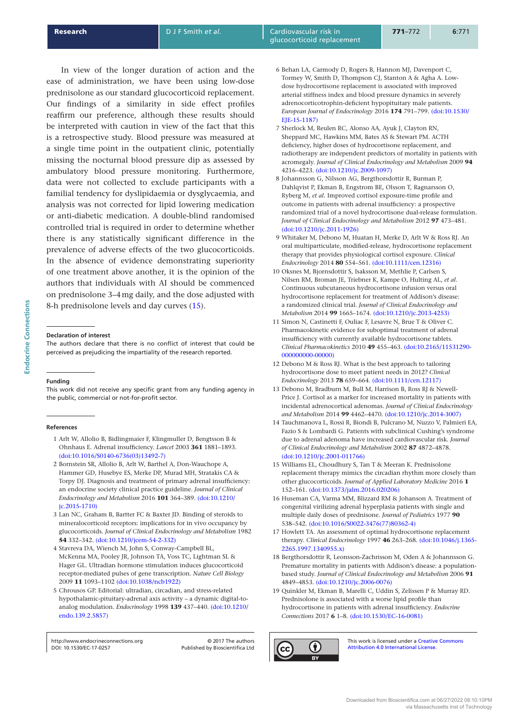**Research Communist Communist Communist Communist Communist Cardiovascular risk in** glucocorticoid replacement

In view of the longer duration of action and the ease of administration, we have been using low-dose prednisolone as our standard glucocorticoid replacement. Our findings of a similarity in side effect profiles reaffirm our preference, although these results should be interpreted with caution in view of the fact that this is a retrospective study. Blood pressure was measured at a single time point in the outpatient clinic, potentially missing the nocturnal blood pressure dip as assessed by ambulatory blood pressure monitoring. Furthermore, data were not collected to exclude participants with a familial tendency for dyslipidaemia or dysglycaemia, and analysis was not corrected for lipid lowering medication or anti-diabetic medication. A double-blind randomised controlled trial is required in order to determine whether there is any statistically significant difference in the prevalence of adverse effects of the two glucocorticoids. In the absence of evidence demonstrating superiority of one treatment above another, it is the opinion of the authors that individuals with AI should be commenced on prednisolone 3–4mg daily, and the dose adjusted with 8-h prednisolone levels and day curves [\(15\)](#page-5-14).

#### **Declaration of interest**

The authors declare that there is no conflict of interest that could be perceived as prejudicing the impartiality of the research reported.

#### **Funding**

This work did not receive any specific grant from any funding agency in the public, commercial or not-for-profit sector.

#### **References**

- <span id="page-5-0"></span>1 Arlt W, Allolio B, Bidlingmaier F, Klingmuller D, Bengtsson B & Ohnhaus E. Adrenal insufficiency. *Lancet* 2003 **361** 1881–1893. [\(doi:10.1016/S0140-6736\(03\)13492-7\)](http://dx.doi.org/10.1016/S0140-6736(03)13492-7)
- <span id="page-5-1"></span>2 Bornstein SR, Allolio B, Arlt W, Barthel A, Don-Wauchope A, Hammer GD, Husebye ES, Merke DP, Murad MH, Stratakis CA & Torpy DJ. Diagnosis and treatment of primary adrenal insufficiency: an endocrine society clinical practice guideline. *Journal of Clinical Endocrinology and Metabolism* 2016 **101** 364–389. [\(doi:10.1210/](http://dx.doi.org/10.1210/jc.2015-1710) [jc.2015-1710\)](http://dx.doi.org/10.1210/jc.2015-1710)
- <span id="page-5-2"></span>3 Lan NC, Graham B, Bartter FC & Baxter JD. Binding of steroids to mineralocorticoid receptors: implications for in vivo occupancy by glucocorticoids. *Journal of Clinical Endocrinology and Metabolism* 1982 **54** 332–342. [\(doi:10.1210/jcem-54-2-332\)](http://dx.doi.org/10.1210/jcem-54-2-332)
- <span id="page-5-3"></span>4 Stavreva DA, Wiench M, John S, Conway-Campbell BL, McKenna MA, Pooley JR, Johnson TA, Voss TC, Lightman SL & Hager GL. Ultradian hormone stimulation induces glucocorticoid receptor-mediated pulses of gene transcription. *Nature Cell Biology* 2009 **11** 1093–1102 [\(doi:10.1038/ncb1922\)](http://dx.doi.org/10.1038/ncb1922)
- <span id="page-5-4"></span>5 Chrousos GP. Editorial: ultradian, circadian, and stress-related hypothalamic-pituitary-adrenal axis activity – a dynamic digital-toanalog modulation. *Endocrinology* 1998 **139** 437–440. [\(doi:10.1210/](http://dx.doi.org/10.1210/endo.139.2.5857) [endo.139.2.5857\)](http://dx.doi.org/10.1210/endo.139.2.5857)

[DOI: 10.1530/EC-17-0257](http://dx.doi.org/10.1530/EC-17-0257) http://www.endocrineconnections.org © 2017 The authors

Published by Bioscientifica Ltd

- <span id="page-5-5"></span>6 Behan LA, Carmody D, Rogers B, Hannon MJ, Davenport C, Tormey W, Smith D, Thompson CJ, Stanton A & Agha A. Lowdose hydrocortisone replacement is associated with improved arterial stiffness index and blood pressure dynamics in severely adrenocorticotrophin-deficient hypopituitary male patients. *European Journal of Endocrinology* 2016 **174** 791–799. [\(doi:10.1530/](http://dx.doi.org/10.1530/EJE-15-1187) [EJE-15-1187\)](http://dx.doi.org/10.1530/EJE-15-1187)
- <span id="page-5-6"></span>7 Sherlock M, Reulen RC, Alonso AA, Ayuk J, Clayton RN, Sheppard MC, Hawkins MM, Bates AS & Stewart PM. ACTH deficiency, higher doses of hydrocortisone replacement, and radiotherapy are independent predictors of mortality in patients with acromegaly. *Journal of Clinical Endocrinology and Metabolism* 2009 **94** 4216–4223. [\(doi:10.1210/jc.2009-1097\)](http://dx.doi.org/10.1210/jc.2009-1097)
- <span id="page-5-7"></span>8 Johannsson G, Nilsson AG, Bergthorsdottir R, Burman P, Dahlqvist P, Ekman B, Engstrom BE, Olsson T, Ragnarsson O, Ryberg M, *et al*. Improved cortisol exposure-time profile and outcome in patients with adrenal insufficiency: a prospective randomized trial of a novel hydrocortisone dual-release formulation. *Journal of Clinical Endocrinology and Metabolism* 2012 **97** 473–481. [\(doi:10.1210/jc.2011-1926\)](http://dx.doi.org/10.1210/jc.2011-1926)
- <span id="page-5-8"></span>9 Whitaker M, Debono M, Huatan H, Merke D, Arlt W & Ross RJ. An oral multiparticulate, modified-release, hydrocortisone replacement therapy that provides physiological cortisol exposure. *Clinical Endocrinology* 2014 **80** 554–561. [\(doi:10.1111/cen.12316\)](http://dx.doi.org/10.1111/cen.12316)
- <span id="page-5-9"></span>10 Oksnes M, Bjornsdottir S, Isaksson M, Methlie P, Carlsen S, Nilsen RM, Broman JE, Triebner K, Kampe O, Hulting AL, *et al*. Continuous subcutaneous hydrocortisone infusion versus oral hydrocortisone replacement for treatment of Addison's disease: a randomized clinical trial. *Journal of Clinical Endocrinology and Metabolism* 2014 **99** 1665–1674. [\(doi:10.1210/jc.2013-4253\)](http://dx.doi.org/10.1210/jc.2013-4253)
- <span id="page-5-10"></span>11 Simon N, Castinetti F, Ouliac F, Lesavre N, Brue T & Oliver C. Pharmacokinetic evidence for suboptimal treatment of adrenal insufficiency with currently available hydrocortisone tablets. *Clinical Pharmacokinetics* 2010 **49** 455–463. [\(doi:10.2165/11531290-](http://dx.doi.org/10.2165/11531290-000000000-00000) [000000000-00000\)](http://dx.doi.org/10.2165/11531290-000000000-00000)
- <span id="page-5-11"></span>12 Debono M & Ross RJ. What is the best approach to tailoring hydrocortisone dose to meet patient needs in 2012? *Clinical Endocrinology* 2013 **78** 659–664. [\(doi:10.1111/cen.12117\)](http://dx.doi.org/10.1111/cen.12117)
- <span id="page-5-12"></span>13 Debono M, Bradburn M, Bull M, Harrison B, Ross RJ & Newell-Price J. Cortisol as a marker for increased mortality in patients with incidental adrenocortical adenomas. *Journal of Clinical Endocrinology and Metabolism* 2014 **99** 4462–4470. [\(doi:10.1210/jc.2014-3007\)](http://dx.doi.org/10.1210/jc.2014-3007)
- <span id="page-5-13"></span>14 Tauchmanova L, Rossi R, Biondi B, Pulcrano M, Nuzzo V, Palmieri EA, Fazio S & Lombardi G. Patients with subclinical Cushing's syndrome due to adrenal adenoma have increased cardiovascular risk. *Journal of Clinical Endocrinology and Metabolism* 2002 **87** 4872–4878. [\(doi:10.1210/jc.2001-011766\)](http://dx.doi.org/10.1210/jc.2001-011766)
- <span id="page-5-14"></span>15 Williams EL, Choudhury S, Tan T & Meeran K. Prednisolone replacement therapy mimics the circadian rhythm more closely than other glucocorticoids. *Journal of Applied Laboratory Medicine* 2016 **1** 152–161. [\(doi:10.1373/jalm.2016.020206\)](http://dx.doi.org/10.1373/jalm.2016.020206)
- <span id="page-5-15"></span>16 Huseman CA, Varma MM, Blizzard RM & Johanson A. Treatment of congenital virilizing adrenal hyperplasia patients with single and multiple daily doses of prednisone. *Journal of Pediatrics* 1977 **90** 538–542. [\(doi:10.1016/S0022-3476\(77\)80362-4\)](http://dx.doi.org/10.1016/S0022-3476(77)80362-4)
- <span id="page-5-16"></span>17 Howlett TA. An assessment of optimal hydrocortisone replacement therapy. *Clinical Endocrinology* 1997 **46** 263–268. [\(doi:10.1046/j.1365-](http://dx.doi.org/10.1046/j.1365-2265.1997.1340955.x) [2265.1997.1340955.x\)](http://dx.doi.org/10.1046/j.1365-2265.1997.1340955.x)
- <span id="page-5-17"></span>18 Bergthorsdottir R, Leonsson-Zachrisson M, Oden A & Johannsson G. Premature mortality in patients with Addison's disease: a populationbased study. *Journal of Clinical Endocrinology and Metabolism* 2006 **91** 4849–4853. [\(doi:10.1210/jc.2006-0076\)](http://dx.doi.org/10.1210/jc.2006-0076)
- <span id="page-5-18"></span>19 Quinkler M, Ekman B, Marelli C, Uddin S, Zelissen P & Murray RD. Prednisolone is associated with a worse lipid profile than hydrocortisone in patients with adrenal insufficiency. *Endocrine Connections* 2017 **6** 1–8. [\(doi:10.1530/EC-16-0081\)](http://dx.doi.org/10.1530/EC-16-0081)